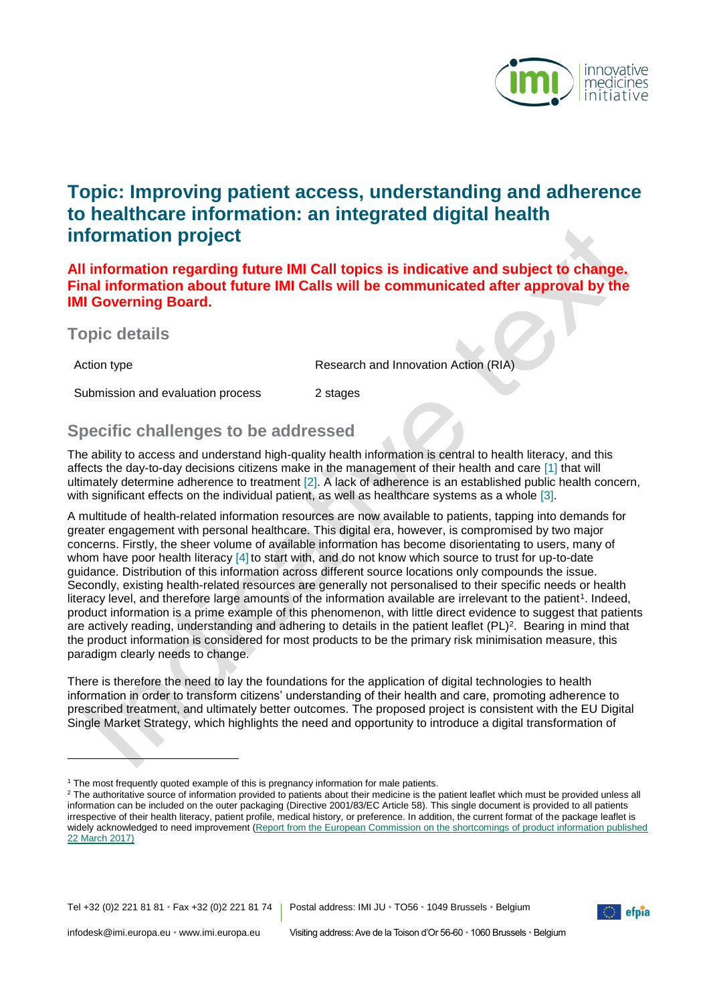

# **Topic: Improving patient access, understanding and adherence to healthcare information: an integrated digital health information project**

**All information regarding future IMI Call topics is indicative and subject to change. Final information about future IMI Calls will be communicated after approval by the IMI Governing Board.**

**Topic details**

-

Action type **Research and Innovation Action (RIA)** 

Submission and evaluation process 2 stages

# **Specific challenges to be addressed**

The ability to access and understand high-quality health information is central to health literacy, and this affects the day-to-day decisions citizens make in the management of their health and care [\[1\]](#page-9-0) that will ultimately determine adherence to treatment [\[2\].](#page-9-1) A lack of adherence is an established public health concern, with significant effects on the individual patient, as well as healthcare systems as a whole [\[3\].](#page-9-2)

A multitude of health-related information resources are now available to patients, tapping into demands for greater engagement with personal healthcare. This digital era, however, is compromised by two major concerns. Firstly, the sheer volume of available information has become disorientating to users, many of whom have poor health literacy [\[4\]](#page-9-3) to start with, and do not know which source to trust for up-to-date guidance. Distribution of this information across different source locations only compounds the issue. Secondly, existing health-related resources are generally not personalised to their specific needs or health literacy level, and therefore large amounts of the information available are irrelevant to the patient<sup>1</sup>. Indeed, product information is a prime example of this phenomenon, with little direct evidence to suggest that patients are actively reading, understanding and adhering to details in the patient leaflet (PL)<sup>2</sup>. Bearing in mind that the product information is considered for most products to be the primary risk minimisation measure, this paradigm clearly needs to change.

There is therefore the need to lay the foundations for the application of digital technologies to health information in order to transform citizens' understanding of their health and care, promoting adherence to prescribed treatment, and ultimately better outcomes. The proposed project is consistent with the EU Digital Single Market Strategy, which highlights the need and opportunity to introduce a digital transformation of



<sup>&</sup>lt;sup>1</sup> The most frequently quoted example of this is pregnancy information for male patients.

<sup>&</sup>lt;sup>2</sup> The authoritative source of information provided to patients about their medicine is the patient leaflet which must be provided unless all information can be included on the outer packaging (Directive 2001/83/EC Article 58). This single document is provided to all patients irrespective of their health literacy, patient profile, medical history, or preference. In addition, the current format of the package leaflet is widely acknowledged to need improvement (Report from the European Commission on the shortcomings of product information published [22 March 2017\)](https://ec.europa.eu/health/sites/health/files/files/documents/2017_03_report_smpc-pl_en.pdf)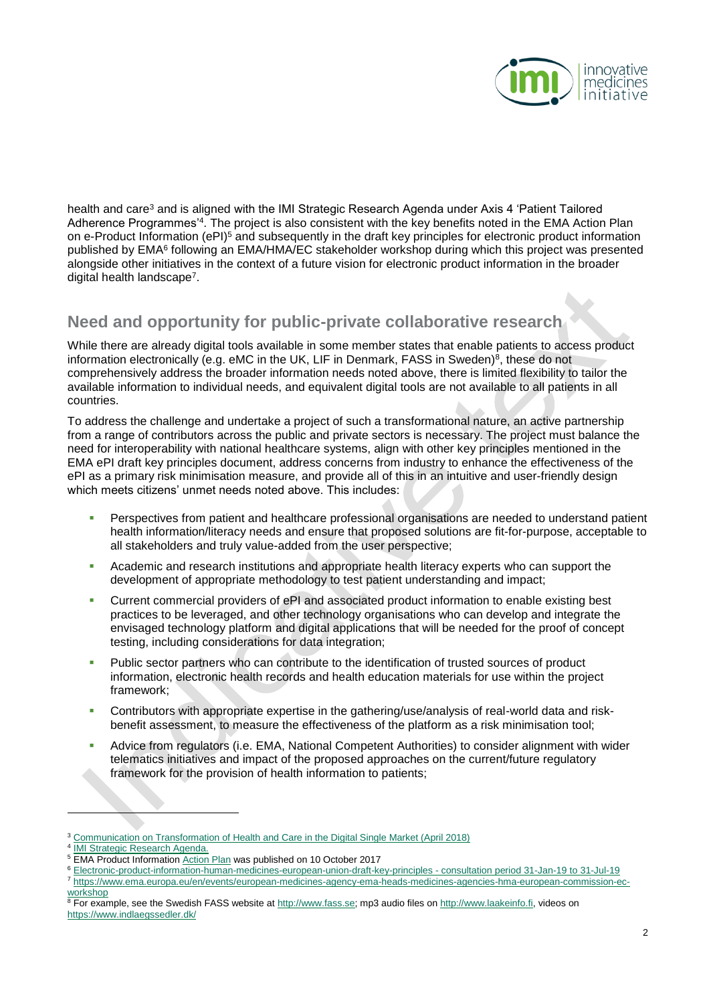

health and care<sup>3</sup> and is aligned with the IMI Strategic Research Agenda under Axis 4 'Patient Tailored Adherence Programmes'<sup>4</sup>. The project is also consistent with the key benefits noted in the EMA Action Plan on e-Product Information (ePI)<sup>5</sup> and subsequently in the draft key principles for electronic product information published by EMA<sup>6</sup> following an EMA/HMA/EC stakeholder workshop during which this project was presented alongside other initiatives in the context of a future vision for electronic product information in the broader digital health landscape<sup>7</sup> .

# **Need and opportunity for public-private collaborative research**

While there are already digital tools available in some member states that enable patients to access product information electronically (e.g. eMC in the UK, LIF in Denmark, FASS in Sweden) $^8$ , these do not comprehensively address the broader information needs noted above, there is limited flexibility to tailor the available information to individual needs, and equivalent digital tools are not available to all patients in all countries.

To address the challenge and undertake a project of such a transformational nature, an active partnership from a range of contributors across the public and private sectors is necessary. The project must balance the need for interoperability with national healthcare systems, align with other key principles mentioned in the EMA ePI draft key principles document, address concerns from industry to enhance the effectiveness of the ePI as a primary risk minimisation measure, and provide all of this in an intuitive and user-friendly design which meets citizens' unmet needs noted above. This includes:

- **Perspectives from patient and healthcare professional organisations are needed to understand patient** health information/literacy needs and ensure that proposed solutions are fit-for-purpose, acceptable to all stakeholders and truly value-added from the user perspective;
- **Academic and research institutions and appropriate health literacy experts who can support the** development of appropriate methodology to test patient understanding and impact;
- Current commercial providers of ePI and associated product information to enable existing best practices to be leveraged, and other technology organisations who can develop and integrate the envisaged technology platform and digital applications that will be needed for the proof of concept testing, including considerations for data integration;
- Public sector partners who can contribute to the identification of trusted sources of product information, electronic health records and health education materials for use within the project framework;
- Contributors with appropriate expertise in the gathering/use/analysis of real-world data and riskbenefit assessment, to measure the effectiveness of the platform as a risk minimisation tool;
- Advice from regulators (i.e. EMA, National Competent Authorities) to consider alignment with wider telematics initiatives and impact of the proposed approaches on the current/future regulatory framework for the provision of health information to patients;

l

[Communication on Transformation of Health and Care in the Digital Single Market \(April 2018\)](https://ec.europa.eu/digital-single-market/news-redirect/624248)

<sup>4</sup> IMI [Strategic Research Agenda.](https://www.imi.europa.eu/sites/default/files/uploads/documents/About-IMI/research-agenda/IMI2_SRA_March2014.pdf)

<sup>&</sup>lt;sup>5</sup> EMA Product Informatio[n Action Plan](https://ec.europa.eu/health/sites/health/files/files/committee/pharm740_3ii_report-on-pil-and-ema-action-plan_0.pdf) was published on 10 October 2017

<sup>6</sup> [Electronic-product-information-human-medicines-european-union-draft-key-principles -](https://www.ema.europa.eu/en/documents/regulatory-procedural-guideline/electronic-product-information-human-medicines-european-union-draft-key-principles_en.pdf) consultation period 31-Jan-19 to 31-Jul-19

<sup>7</sup> [https://www.ema.europa.eu/en/events/european-medicines-agency-ema-heads-medicines-agencies-hma-european-commission-ec](https://www.ema.europa.eu/en/events/european-medicines-agency-ema-heads-medicines-agencies-hma-european-commission-ec-workshop)[workshop](https://www.ema.europa.eu/en/events/european-medicines-agency-ema-heads-medicines-agencies-hma-european-commission-ec-workshop)

For example, see the Swedish FASS website at [http://www.fass.se;](http://www.fass.se/) mp3 audio files o[n http://www.laakeinfo.fi,](http://www.laakeinfo.fi/) videos on <https://www.indlaegssedler.dk/>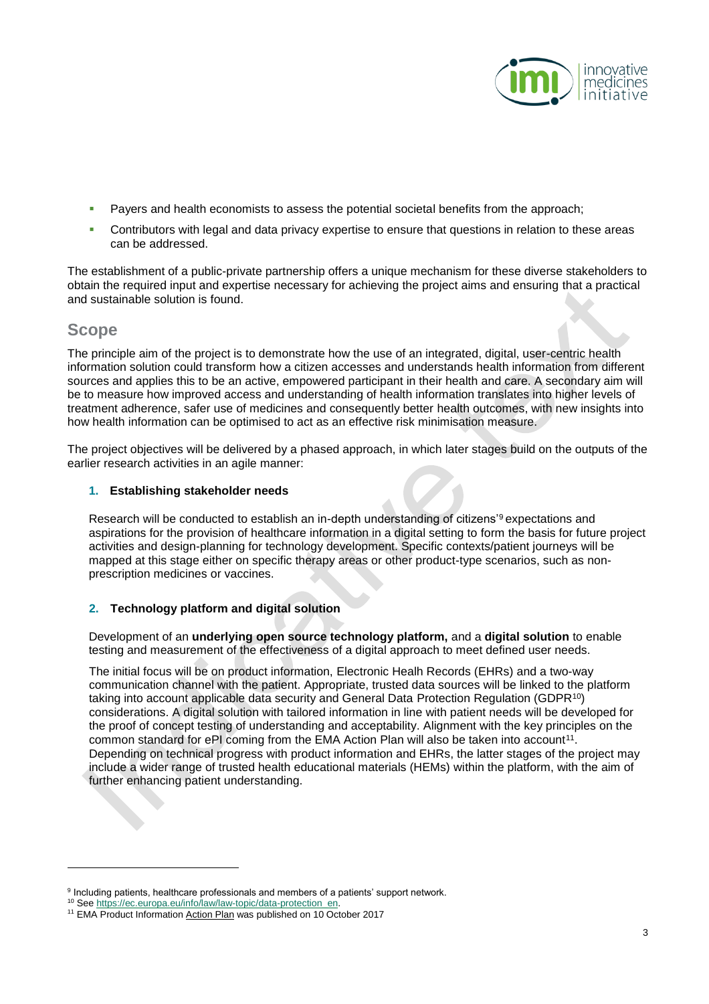

- **Payers and health economists to assess the potential societal benefits from the approach;**
- Contributors with legal and data privacy expertise to ensure that questions in relation to these areas can be addressed.

The establishment of a public-private partnership offers a unique mechanism for these diverse stakeholders to obtain the required input and expertise necessary for achieving the project aims and ensuring that a practical and sustainable solution is found.

### **Scope**

l

The principle aim of the project is to demonstrate how the use of an integrated, digital, user-centric health information solution could transform how a citizen accesses and understands health information from different sources and applies this to be an active, empowered participant in their health and care. A secondary aim will be to measure how improved access and understanding of health information translates into higher levels of treatment adherence, safer use of medicines and consequently better health outcomes, with new insights into how health information can be optimised to act as an effective risk minimisation measure.

The project objectives will be delivered by a phased approach, in which later stages build on the outputs of the earlier research activities in an agile manner:

### **1. Establishing stakeholder needs**

Research will be conducted to establish an in-depth understanding of citizens'<sup>9</sup> expectations and aspirations for the provision of healthcare information in a digital setting to form the basis for future project activities and design-planning for technology development. Specific contexts/patient journeys will be mapped at this stage either on specific therapy areas or other product-type scenarios, such as nonprescription medicines or vaccines.

### **2. Technology platform and digital solution**

Development of an **underlying open source technology platform,** and a **digital solution** to enable testing and measurement of the effectiveness of a digital approach to meet defined user needs.

The initial focus will be on product information, Electronic Healh Records (EHRs) and a two-way communication channel with the patient. Appropriate, trusted data sources will be linked to the platform taking into account applicable data security and General Data Protection Regulation (GDPR<sup>10</sup>) considerations. A digital solution with tailored information in line with patient needs will be developed for the proof of concept testing of understanding and acceptability. Alignment with the key principles on the common standard for  $e$ PI coming from the EMA Action Plan will also be taken into account<sup>11</sup>. Depending on technical progress with product information and EHRs, the latter stages of the project may include a wider range of trusted health educational materials (HEMs) within the platform, with the aim of further enhancing patient understanding.

<sup>&</sup>lt;sup>9</sup> Including patients, healthcare professionals and members of a patients' support network.

<sup>10</sup> See [https://ec.europa.eu/info/law/law-topic/data-protection\\_en.](https://ec.europa.eu/info/law/law-topic/data-protection_en)

<sup>&</sup>lt;sup>11</sup> EMA Product Information [Action Plan](https://ec.europa.eu/health/sites/health/files/files/committee/pharm740_3ii_report-on-pil-and-ema-action-plan_0.pdf) was published on 10 October 2017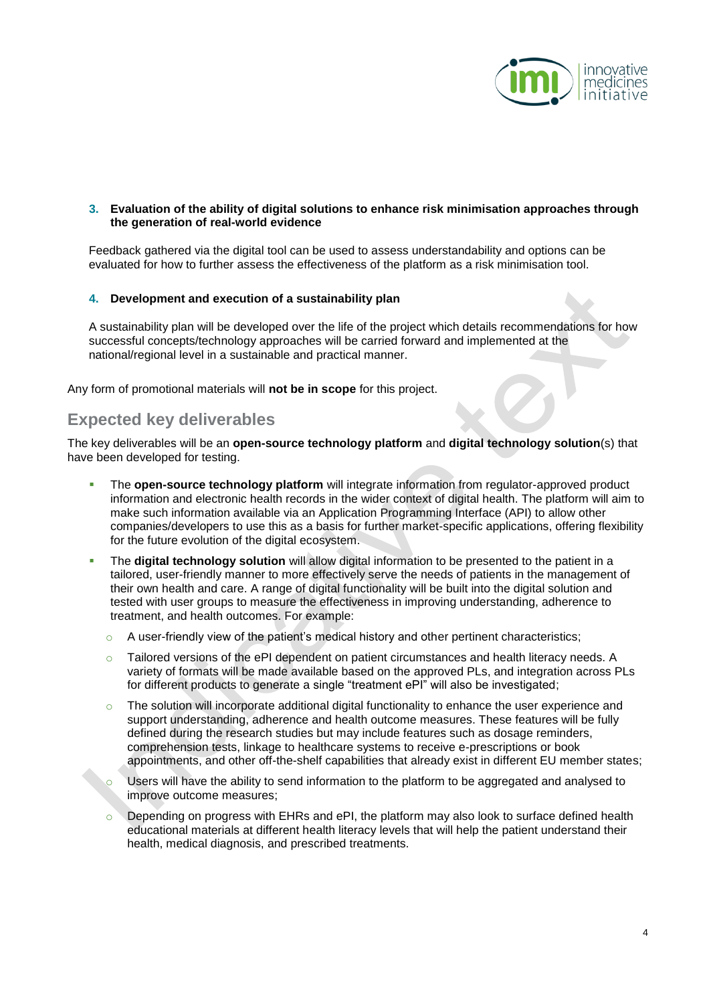

### **3. Evaluation of the ability of digital solutions to enhance risk minimisation approaches through the generation of real-world evidence**

Feedback gathered via the digital tool can be used to assess understandability and options can be evaluated for how to further assess the effectiveness of the platform as a risk minimisation tool.

### **4. Development and execution of a sustainability plan**

A sustainability plan will be developed over the life of the project which details recommendations for how successful concepts/technology approaches will be carried forward and implemented at the national/regional level in a sustainable and practical manner.

Any form of promotional materials will **not be in scope** for this project.

### **Expected key deliverables**

The key deliverables will be an **open-source technology platform** and **digital technology solution**(s) that have been developed for testing.

- The **open-source technology platform** will integrate information from regulator-approved product information and electronic health records in the wider context of digital health. The platform will aim to make such information available via an Application Programming Interface (API) to allow other companies/developers to use this as a basis for further market-specific applications, offering flexibility for the future evolution of the digital ecosystem.
- The **digital technology solution** will allow digital information to be presented to the patient in a tailored, user-friendly manner to more effectively serve the needs of patients in the management of their own health and care. A range of digital functionality will be built into the digital solution and tested with user groups to measure the effectiveness in improving understanding, adherence to treatment, and health outcomes. For example:
	- $\circ$  A user-friendly view of the patient's medical history and other pertinent characteristics;
	- $\circ$  Tailored versions of the ePI dependent on patient circumstances and health literacy needs. A variety of formats will be made available based on the approved PLs, and integration across PLs for different products to generate a single "treatment ePI" will also be investigated;
	- $\circ$  The solution will incorporate additional digital functionality to enhance the user experience and support understanding, adherence and health outcome measures. These features will be fully defined during the research studies but may include features such as dosage reminders, comprehension tests, linkage to healthcare systems to receive e-prescriptions or book appointments, and other off-the-shelf capabilities that already exist in different EU member states;
	- $\circ$  Users will have the ability to send information to the platform to be aggregated and analysed to improve outcome measures;
	- Depending on progress with EHRs and ePI, the platform may also look to surface defined health educational materials at different health literacy levels that will help the patient understand their health, medical diagnosis, and prescribed treatments.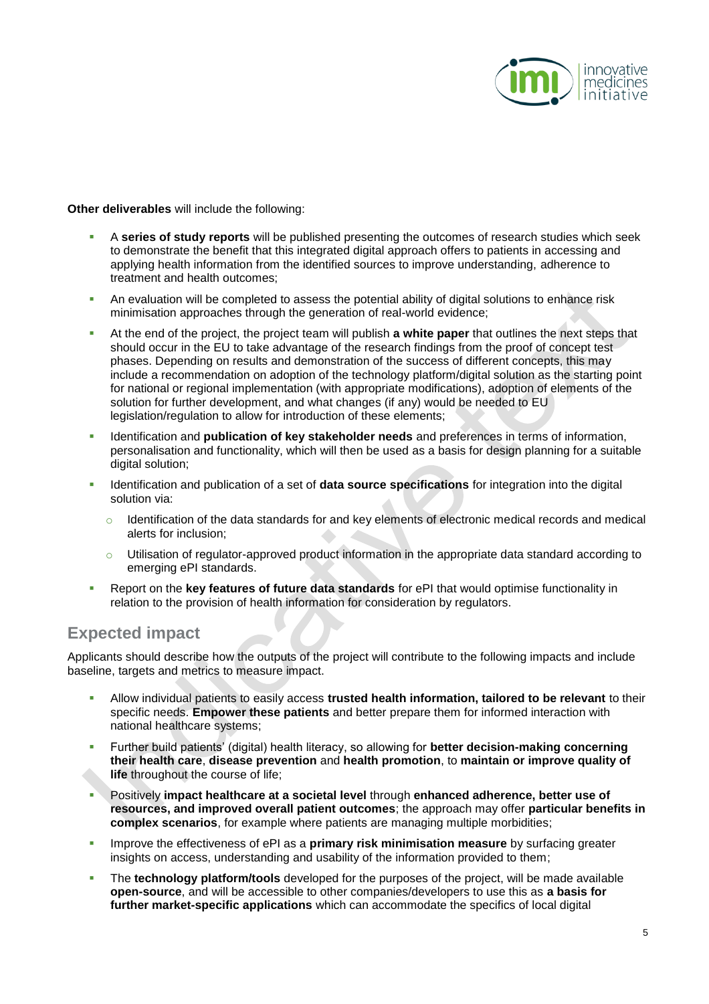

**Other deliverables** will include the following:

- A **series of study reports** will be published presenting the outcomes of research studies which seek to demonstrate the benefit that this integrated digital approach offers to patients in accessing and applying health information from the identified sources to improve understanding, adherence to treatment and health outcomes;
- An evaluation will be completed to assess the potential ability of digital solutions to enhance risk minimisation approaches through the generation of real-world evidence;
- At the end of the project, the project team will publish **a white paper** that outlines the next steps that should occur in the EU to take advantage of the research findings from the proof of concept test phases. Depending on results and demonstration of the success of different concepts, this may include a recommendation on adoption of the technology platform/digital solution as the starting point for national or regional implementation (with appropriate modifications), adoption of elements of the solution for further development, and what changes (if any) would be needed to EU legislation/regulation to allow for introduction of these elements;
- **IDENTIFICATION And <b>publication of key stakeholder needs** and preferences in terms of information, personalisation and functionality, which will then be used as a basis for design planning for a suitable digital solution;
- **IDENTIFICATION And publication of a set of data source specifications** for integration into the digital solution via:
	- $\circ$  Identification of the data standards for and key elements of electronic medical records and medical alerts for inclusion;
	- o Utilisation of regulator-approved product information in the appropriate data standard according to emerging ePI standards.
- Report on the **key features of future data standards** for ePI that would optimise functionality in relation to the provision of health information for consideration by regulators.

## **Expected impact**

Applicants should describe how the outputs of the project will contribute to the following impacts and include baseline, targets and metrics to measure impact.

- Allow individual patients to easily access **trusted health information, tailored to be relevant** to their specific needs. **Empower these patients** and better prepare them for informed interaction with national healthcare systems;
- Further build patients' (digital) health literacy, so allowing for **better decision-making concerning their health care**, **disease prevention** and **health promotion**, to **maintain or improve quality of life** throughout the course of life;
- **Positively impact healthcare at a societal level through enhanced adherence, better use of resources, and improved overall patient outcomes**; the approach may offer **particular benefits in complex scenarios**, for example where patients are managing multiple morbidities;
- Improve the effectiveness of ePI as a **primary risk minimisation measure** by surfacing greater insights on access, understanding and usability of the information provided to them;
- **The technology platform/tools** developed for the purposes of the project, will be made available **open-source**, and will be accessible to other companies/developers to use this as **a basis for further market-specific applications** which can accommodate the specifics of local digital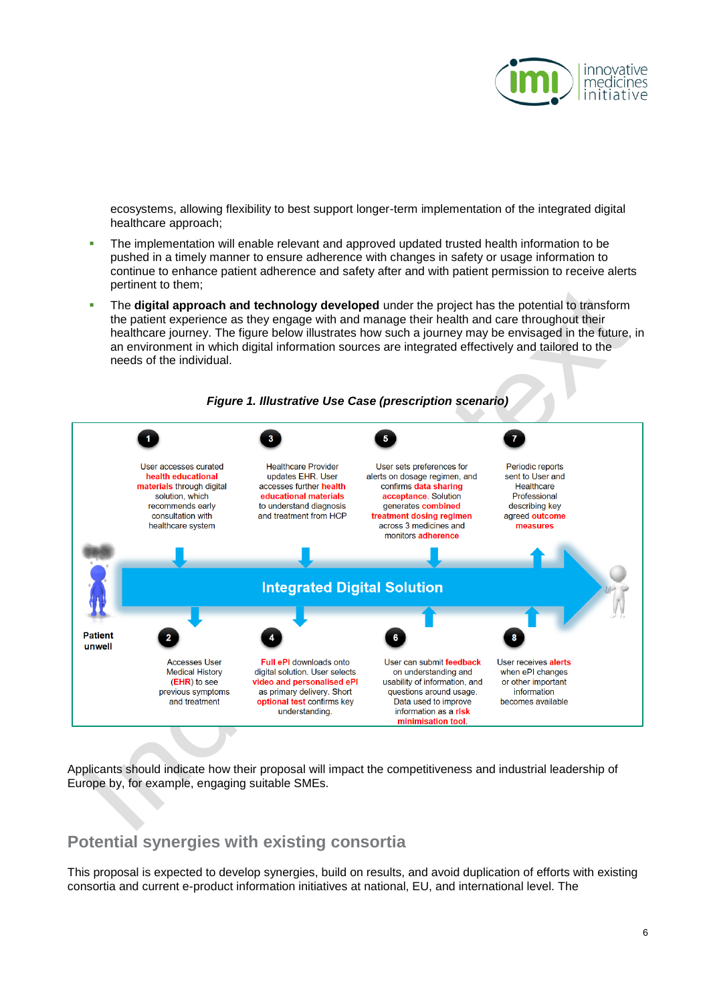

ecosystems, allowing flexibility to best support longer-term implementation of the integrated digital healthcare approach;

- The implementation will enable relevant and approved updated trusted health information to be pushed in a timely manner to ensure adherence with changes in safety or usage information to continue to enhance patient adherence and safety after and with patient permission to receive alerts pertinent to them;
- The **digital approach and technology developed** under the project has the potential to transform the patient experience as they engage with and manage their health and care throughout their healthcare journey. The figure below illustrates how such a journey may be envisaged in the future, in an environment in which digital information sources are integrated effectively and tailored to the needs of the individual.



Applicants should indicate how their proposal will impact the competitiveness and industrial leadership of Europe by, for example, engaging suitable SMEs.

# **Potential synergies with existing consortia**

This proposal is expected to develop synergies, build on results, and avoid duplication of efforts with existing consortia and current e-product information initiatives at national, EU, and international level. The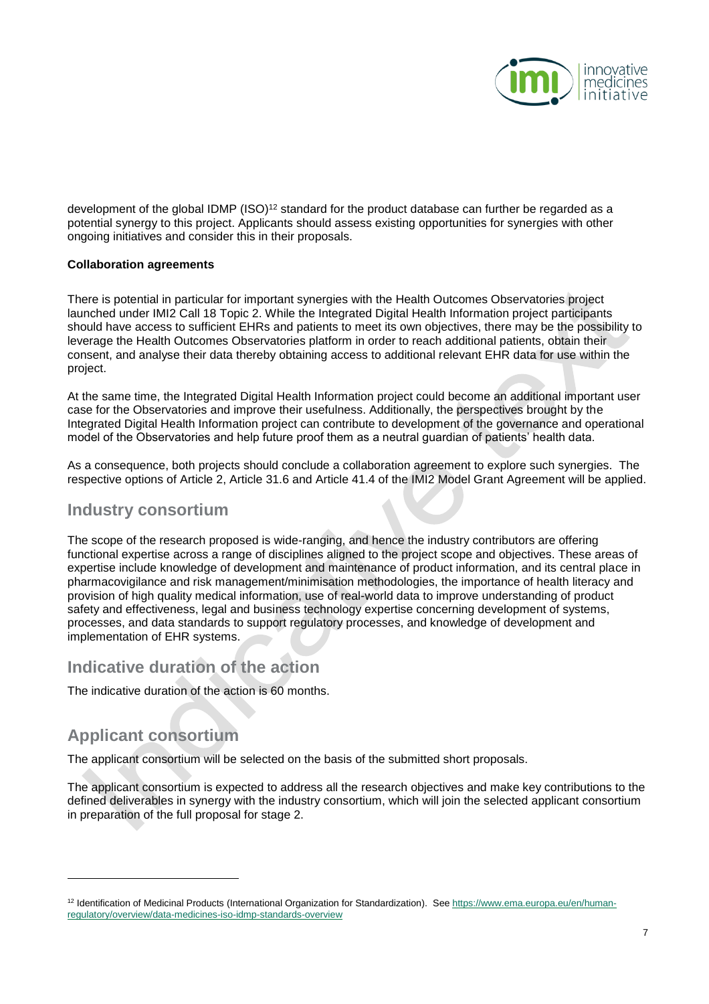

development of the global IDMP (ISO)<sup>12</sup> standard for the product database can further be regarded as a potential synergy to this project. Applicants should assess existing opportunities for synergies with other ongoing initiatives and consider this in their proposals.

### **Collaboration agreements**

There is potential in particular for important synergies with the Health Outcomes Observatories project launched under IMI2 Call 18 Topic 2. While the Integrated Digital Health Information project participants should have access to sufficient EHRs and patients to meet its own objectives, there may be the possibility to leverage the Health Outcomes Observatories platform in order to reach additional patients, obtain their consent, and analyse their data thereby obtaining access to additional relevant EHR data for use within the project.

At the same time, the Integrated Digital Health Information project could become an additional important user case for the Observatories and improve their usefulness. Additionally, the perspectives brought by the Integrated Digital Health Information project can contribute to development of the governance and operational model of the Observatories and help future proof them as a neutral guardian of patients' health data.

As a consequence, both projects should conclude a collaboration agreement to explore such synergies. The respective options of Article 2, Article 31.6 and Article 41.4 of the IMI2 Model Grant Agreement will be applied.

### **Industry consortium**

The scope of the research proposed is wide-ranging, and hence the industry contributors are offering functional expertise across a range of disciplines aligned to the project scope and objectives. These areas of expertise include knowledge of development and maintenance of product information, and its central place in pharmacovigilance and risk management/minimisation methodologies, the importance of health literacy and provision of high quality medical information, use of real-world data to improve understanding of product safety and effectiveness, legal and business technology expertise concerning development of systems, processes, and data standards to support regulatory processes, and knowledge of development and implementation of EHR systems.

## **Indicative duration of the action**

The indicative duration of the action is 60 months.

# **Applicant consortium**

l

The applicant consortium will be selected on the basis of the submitted short proposals.

The applicant consortium is expected to address all the research objectives and make key contributions to the defined deliverables in synergy with the industry consortium, which will join the selected applicant consortium in preparation of the full proposal for stage 2.

<sup>&</sup>lt;sup>12</sup> Identification of Medicinal Products (International Organization for Standardization). See [https://www.ema.europa.eu/en/human](https://www.ema.europa.eu/en/human-regulatory/overview/data-medicines-iso-idmp-standards-overview)[regulatory/overview/data-medicines-iso-idmp-standards-overview](https://www.ema.europa.eu/en/human-regulatory/overview/data-medicines-iso-idmp-standards-overview)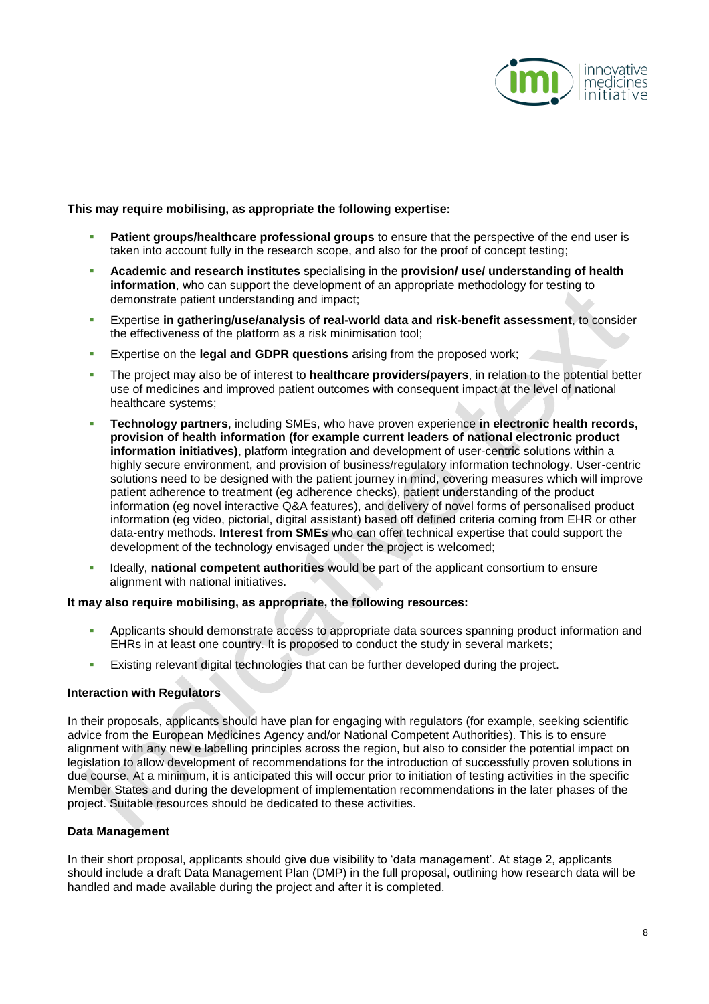

#### **This may require mobilising, as appropriate the following expertise:**

- **Patient groups/healthcare professional groups** to ensure that the perspective of the end user is taken into account fully in the research scope, and also for the proof of concept testing;
- **Academic and research institutes** specialising in the **provision/ use/ understanding of health information**, who can support the development of an appropriate methodology for testing to demonstrate patient understanding and impact;
- Expertise **in gathering/use/analysis of real-world data and risk-benefit assessment**, to consider the effectiveness of the platform as a risk minimisation tool;
- Expertise on the **legal and GDPR questions** arising from the proposed work;
- The project may also be of interest to **healthcare providers/payers**, in relation to the potential better use of medicines and improved patient outcomes with consequent impact at the level of national healthcare systems;
- **Technology partners**, including SMEs, who have proven experience **in electronic health records, provision of health information (for example current leaders of national electronic product information initiatives)**, platform integration and development of user-centric solutions within a highly secure environment, and provision of business/regulatory information technology. User-centric solutions need to be designed with the patient journey in mind, covering measures which will improve patient adherence to treatment (eg adherence checks), patient understanding of the product information (eg novel interactive Q&A features), and delivery of novel forms of personalised product information (eg video, pictorial, digital assistant) based off defined criteria coming from EHR or other data-entry methods. **Interest from SMEs** who can offer technical expertise that could support the development of the technology envisaged under the project is welcomed;
- Ideally, **national competent authorities** would be part of the applicant consortium to ensure alignment with national initiatives.

#### **It may also require mobilising, as appropriate, the following resources:**

- Applicants should demonstrate access to appropriate data sources spanning product information and EHRs in at least one country. It is proposed to conduct the study in several markets;
- Existing relevant digital technologies that can be further developed during the project.

### **Interaction with Regulators**

In their proposals, applicants should have plan for engaging with regulators (for example, seeking scientific advice from the European Medicines Agency and/or National Competent Authorities). This is to ensure alignment with any new e labelling principles across the region, but also to consider the potential impact on legislation to allow development of recommendations for the introduction of successfully proven solutions in due course. At a minimum, it is anticipated this will occur prior to initiation of testing activities in the specific Member States and during the development of implementation recommendations in the later phases of the project. Suitable resources should be dedicated to these activities.

### **Data Management**

In their short proposal, applicants should give due visibility to 'data management'. At stage 2, applicants should include a draft Data Management Plan (DMP) in the full proposal, outlining how research data will be handled and made available during the project and after it is completed.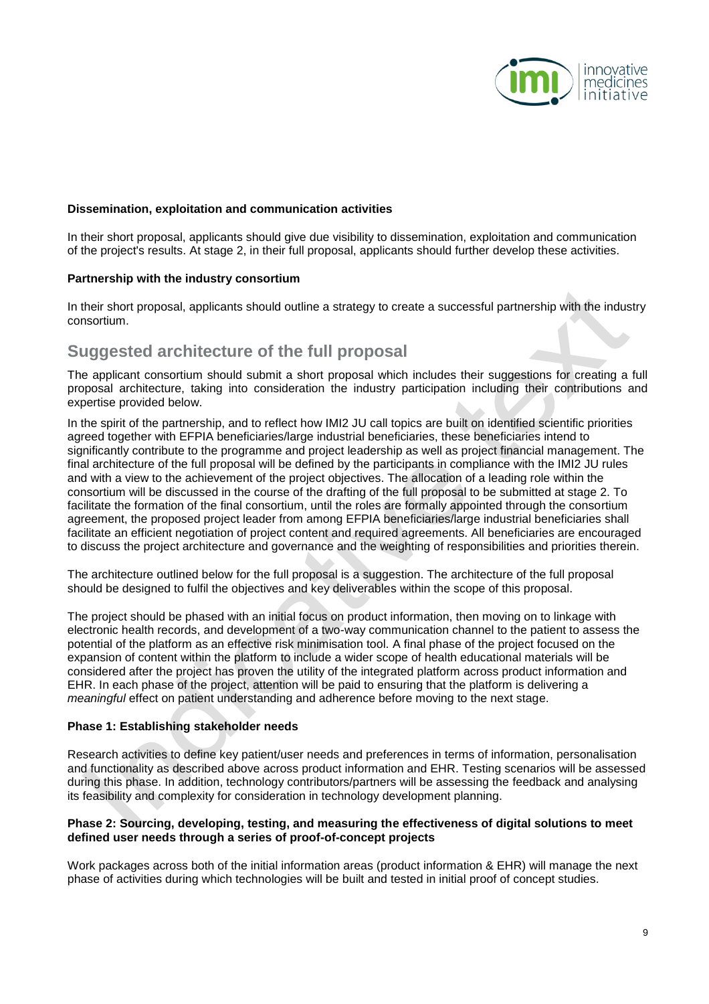

#### **Dissemination, exploitation and communication activities**

In their short proposal, applicants should give due visibility to dissemination, exploitation and communication of the project's results. At stage 2, in their full proposal, applicants should further develop these activities.

#### **Partnership with the industry consortium**

In their short proposal, applicants should outline a strategy to create a successful partnership with the industry consortium.

### **Suggested architecture of the full proposal**

The applicant consortium should submit a short proposal which includes their suggestions for creating a full proposal architecture, taking into consideration the industry participation including their contributions and expertise provided below.

In the spirit of the partnership, and to reflect how IMI2 JU call topics are built on identified scientific priorities agreed together with EFPIA beneficiaries/large industrial beneficiaries, these beneficiaries intend to significantly contribute to the programme and project leadership as well as project financial management. The final architecture of the full proposal will be defined by the participants in compliance with the IMI2 JU rules and with a view to the achievement of the project objectives. The allocation of a leading role within the consortium will be discussed in the course of the drafting of the full proposal to be submitted at stage 2. To facilitate the formation of the final consortium, until the roles are formally appointed through the consortium agreement, the proposed project leader from among EFPIA beneficiaries/large industrial beneficiaries shall facilitate an efficient negotiation of project content and required agreements. All beneficiaries are encouraged to discuss the project architecture and governance and the weighting of responsibilities and priorities therein.

The architecture outlined below for the full proposal is a suggestion. The architecture of the full proposal should be designed to fulfil the objectives and key deliverables within the scope of this proposal.

The project should be phased with an initial focus on product information, then moving on to linkage with electronic health records, and development of a two-way communication channel to the patient to assess the potential of the platform as an effective risk minimisation tool. A final phase of the project focused on the expansion of content within the platform to include a wider scope of health educational materials will be considered after the project has proven the utility of the integrated platform across product information and EHR. In each phase of the project, attention will be paid to ensuring that the platform is delivering a *meaningful* effect on patient understanding and adherence before moving to the next stage.

#### **Phase 1: Establishing stakeholder needs**

Research activities to define key patient/user needs and preferences in terms of information, personalisation and functionality as described above across product information and EHR. Testing scenarios will be assessed during this phase. In addition, technology contributors/partners will be assessing the feedback and analysing its feasibility and complexity for consideration in technology development planning.

#### **Phase 2: Sourcing, developing, testing, and measuring the effectiveness of digital solutions to meet defined user needs through a series of proof-of-concept projects**

Work packages across both of the initial information areas (product information & EHR) will manage the next phase of activities during which technologies will be built and tested in initial proof of concept studies.